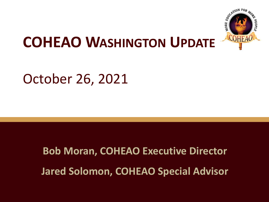

# **COHEAO WASHINGTON UPDATE**

### October 26, 2021

# **Bob Moran, COHEAO Executive Director Jared Solomon, COHEAO Special Advisor**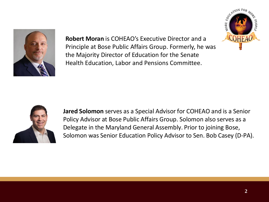

**Robert Moran** is COHEAO's Executive Director and a Principle at Bose Public Affairs Group. Formerly, he was the Majority Director of Education for the Senate Health Education, Labor and Pensions Committee.





**Jared Solomon** serves as a Special Advisor for COHEAO and is a Senior Policy Advisor at Bose Public Affairs Group. Solomon also serves as a Delegate in the Maryland General Assembly. Prior to joining Bose, Solomon was Senior Education Policy Advisor to Sen. Bob Casey (D-PA).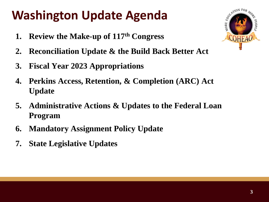## **Washington Update Agenda**

- **1. Review the Make-up of 117th Congress**
- **2. Reconciliation Update & the Build Back Better Act**
- **3. Fiscal Year 2023 Appropriations**
- **4. Perkins Access, Retention, & Completion (ARC) Act Update**
- **5. Administrative Actions & Updates to the Federal Loan Program**
- **6. Mandatory Assignment Policy Update**
- **7. State Legislative Updates**

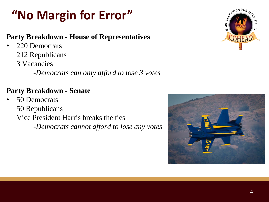## **"No Margin for Error"**

#### **Party Breakdown - House of Representatives**

- 220 Democrats
	- 212 Republicans
	- 3 Vacancies

-*Democrats can only afford to lose 3 votes*

#### **Party Breakdown - Senate**

• 50 Democrats 50 Republicans Vice President Harris breaks the ties -*Democrats cannot afford to lose any votes*



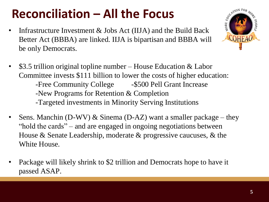### **Reconciliation – All the Focus**

- Infrastructure Investment & Jobs Act (IIJA) and the Build Back Better Act (BBBA) are linked. IIJA is bipartisan and BBBA will be only Democrats.
- \$3.5 trillion original topline number House Education & Labor Committee invests \$111 billion to lower the costs of higher education: -Free Community College - \$500 Pell Grant Increase -New Programs for Retention & Completion -Targeted investments in Minority Serving Institutions
- Sens. Manchin (D-WV) & Sinema (D-AZ) want a smaller package they "hold the cards" – and are engaged in ongoing negotiations between House & Senate Leadership, moderate & progressive caucuses, & the White House.
- Package will likely shrink to \$2 trillion and Democrats hope to have it passed ASAP.

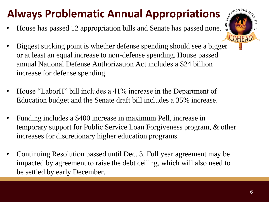### **Always Problematic Annual Appropriations**

• House has passed 12 appropriation bills and Senate has passed none.



- Biggest sticking point is whether defense spending should see a bigger or at least an equal increase to non-defense spending. House passed annual National Defense Authorization Act includes a \$24 billion increase for defense spending.
- House "LaborH" bill includes a 41% increase in the Department of Education budget and the Senate draft bill includes a 35% increase.
- Funding includes a \$400 increase in maximum Pell, increase in temporary support for Public Service Loan Forgiveness program, & other increases for discretionary higher education programs.
- Continuing Resolution passed until Dec. 3. Full year agreement may be impacted by agreement to raise the debt ceiling, which will also need to be settled by early December.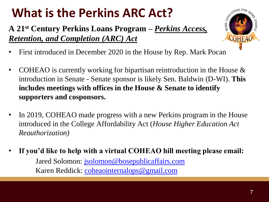# **What is the Perkins ARC Act?**

**A 21st Century Perkins Loans Program –** *Perkins Access, Retention, and Completion (ARC) Act*



- First introduced in December 2020 in the House by Rep. Mark Pocan
- COHEAO is currently working for bipartisan reintroduction in the House  $\&$ introduction in Senate - Senate sponsor is likely Sen. Baldwin (D-WI). **This includes meetings with offices in the House & Senate to identify supporters and cosponsors.**
- In 2019, COHEAO made progress with a new Perkins program in the House introduced in the College Affordability Act (*House Higher Education Act Reauthorization)*
- **If you'd like to help with a virtual COHEAO hill meeting please email:** Jared Solomon: [jsolomon@bosepublicaffairs.com](mailto:jsolomon@bosepublicaffairs.com) Karen Reddick: [coheaointernalops@gmail.com](mailto:coheaointernalops@gmail.com)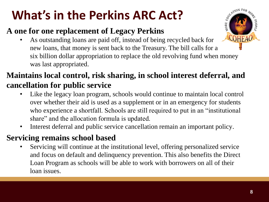# **What's in the Perkins ARC Act?**

#### **A one for one replacement of Legacy Perkins**

• As outstanding loans are paid off, instead of being recycled back for new loans, that money is sent back to the Treasury. The bill calls for a six billion dollar appropriation to replace the old revolving fund when money was last appropriated.

#### **Maintains local control, risk sharing, in school interest deferral, and cancellation for public service**

- Like the legacy loan program, schools would continue to maintain local control over whether their aid is used as a supplement or in an emergency for students who experience a shortfall. Schools are still required to put in an "institutional share" and the allocation formula is updated.
- Interest deferral and public service cancellation remain an important policy.

#### **Servicing remains school based**

Servicing will continue at the institutional level, offering personalized service and focus on default and delinquency prevention. This also benefits the Direct Loan Program as schools will be able to work with borrowers on all of their loan issues.

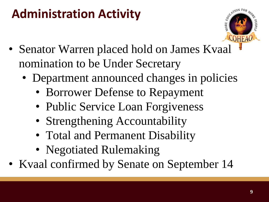### **Administration Activity**



- Senator Warren placed hold on James Kvaal nomination to be Under Secretary
	- Department announced changes in policies
		- Borrower Defense to Repayment
		- Public Service Loan Forgiveness
		- Strengthening Accountability
		- Total and Permanent Disability
		- Negotiated Rulemaking
- Kvaal confirmed by Senate on September 14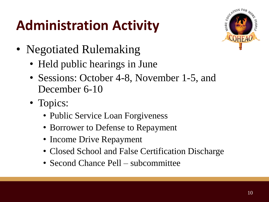# **Administration Activity**



- Negotiated Rulemaking
	- Held public hearings in June
	- Sessions: October 4-8, November 1-5, and December 6-10
	- Topics:
		- Public Service Loan Forgiveness
		- Borrower to Defense to Repayment
		- Income Drive Repayment
		- Closed School and False Certification Discharge
		- Second Chance Pell subcommittee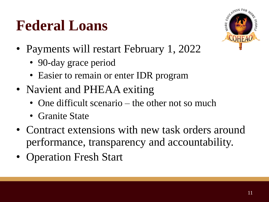# **Federal Loans**



- Payments will restart February 1, 2022
	- 90-day grace period
	- Easier to remain or enter IDR program
- Navient and PHEAA exiting
	- One difficult scenario the other not so much
	- Granite State
- Contract extensions with new task orders around performance, transparency and accountability.
- Operation Fresh Start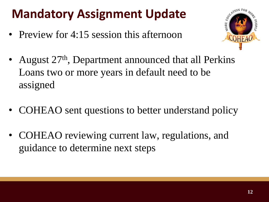## **Mandatory Assignment Update**

• Preview for 4:15 session this afternoon



- August 27<sup>th</sup>, Department announced that all Perkins Loans two or more years in default need to be assigned
- COHEAO sent questions to better understand policy
- COHEAO reviewing current law, regulations, and guidance to determine next steps